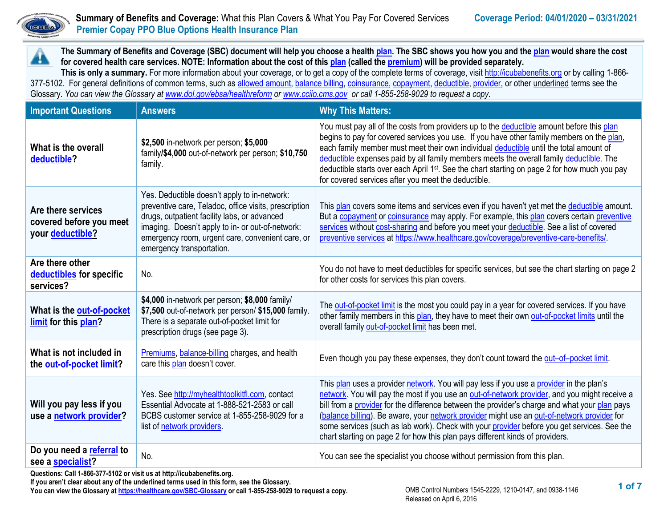

▲

# **Summary of Benefits and Coverage:** What this Plan Covers & What You Pay For Covered Services **Coverage Period: 04/01/2020 – 03/31/2021**<br> **Coverage Period: 04/01/2020 – 03/31/2021 Premier Copay PPO Blue Options Health Insurance Plan**

**The Summary of Benefits and Coverage (SBC) document will help you choose a health [plan.](https://www.healthcare.gov/sbc-glossary/#plan) The SBC shows you how you and th[e plan](https://www.healthcare.gov/sbc-glossary/#plan) would share the cost for covered health care services. NOTE: Information about the cost of thi[s plan](https://www.healthcare.gov/sbc-glossary/#plan) (called th[e premium\)](https://www.healthcare.gov/sbc-glossary/#premium) will be provided separately.**

**This is only a summary.** For more information about your coverage, or to get a copy of the complete terms of coverage, visi[t http://icubabenefits.org](http://icubabenefits.org/) or by calling 1-866 377-5102. For general definitions of common terms, such a[s allowed amount,](https://www.healthcare.gov/sbc-glossary/#allowed-amount) [balance billing,](https://www.healthcare.gov/sbc-glossary/#balance-billing) [coinsurance,](https://www.healthcare.gov/sbc-glossary/#coinsurance) [copayment,](https://www.healthcare.gov/sbc-glossary/#copayment) [deductible,](https://www.healthcare.gov/sbc-glossary/#deductible) [provider,](https://www.healthcare.gov/sbc-glossary/#provider) or other underlined terms see the Glossary. *You can view the Glossary at [www.dol.gov/ebsa/healthreform](https://healthcare.gov/SBC-Glossary) o[r www.cciio.cms.gov](http://www.cciio.cms.gov/) or call 1-855-258-9029 to request a copy.*

| <b>Important Questions</b>                                                                                               | <b>Answers</b>                                                                                                                                                                                                                                                                             | <b>Why This Matters:</b>                                                                                                                                                                                                                                                                                                                                                                                                                                                                                                                                                  |
|--------------------------------------------------------------------------------------------------------------------------|--------------------------------------------------------------------------------------------------------------------------------------------------------------------------------------------------------------------------------------------------------------------------------------------|---------------------------------------------------------------------------------------------------------------------------------------------------------------------------------------------------------------------------------------------------------------------------------------------------------------------------------------------------------------------------------------------------------------------------------------------------------------------------------------------------------------------------------------------------------------------------|
| What is the overall<br>deductible?                                                                                       | \$2,500 in-network per person; \$5,000<br>family/\$4,000 out-of-network per person; \$10,750<br>family.                                                                                                                                                                                    | You must pay all of the costs from providers up to the deductible amount before this plan<br>begins to pay for covered services you use. If you have other family members on the plan,<br>each family member must meet their own individual deductible until the total amount of<br>deductible expenses paid by all family members meets the overall family deductible. The<br>deductible starts over each April 1 <sup>st</sup> . See the chart starting on page 2 for how much you pay<br>for covered services after you meet the deductible.                           |
| Are there services<br>covered before you meet<br>your deductible?                                                        | Yes. Deductible doesn't apply to in-network:<br>preventive care, Teladoc, office visits, prescription<br>drugs, outpatient facility labs, or advanced<br>imaging. Doesn't apply to in- or out-of-network:<br>emergency room, urgent care, convenient care, or<br>emergency transportation. | This plan covers some items and services even if you haven't yet met the deductible amount.<br>But a copayment or coinsurance may apply. For example, this plan covers certain preventive<br>services without cost-sharing and before you meet your deductible. See a list of covered<br>preventive services at https://www.healthcare.gov/coverage/preventive-care-benefits/.                                                                                                                                                                                            |
| Are there other<br>deductibles for specific<br>services?                                                                 | No.                                                                                                                                                                                                                                                                                        | You do not have to meet deductibles for specific services, but see the chart starting on page 2<br>for other costs for services this plan covers.                                                                                                                                                                                                                                                                                                                                                                                                                         |
| What is the out-of-pocket<br>limit for this plan?                                                                        | \$4,000 in-network per person; \$8,000 family/<br>\$7,500 out-of-network per person/ \$15,000 family.<br>There is a separate out-of-pocket limit for<br>prescription drugs (see page 3).                                                                                                   | The out-of-pocket limit is the most you could pay in a year for covered services. If you have<br>other family members in this plan, they have to meet their own out-of-pocket limits until the<br>overall family out-of-pocket limit has been met.                                                                                                                                                                                                                                                                                                                        |
| What is not included in<br>the out-of-pocket limit?                                                                      | Premiums, balance-billing charges, and health<br>care this plan doesn't cover.                                                                                                                                                                                                             | Even though you pay these expenses, they don't count toward the out-of-pocket limit.                                                                                                                                                                                                                                                                                                                                                                                                                                                                                      |
| Will you pay less if you<br>use a network provider?                                                                      | Yes. See http://myhealthtoolkitfl.com, contact<br>Essential Advocate at 1-888-521-2583 or call<br>BCBS customer service at 1-855-258-9029 for a<br>list of network providers.                                                                                                              | This plan uses a provider network. You will pay less if you use a provider in the plan's<br>network. You will pay the most if you use an out-of-network provider, and you might receive a<br>bill from a provider for the difference between the provider's charge and what your plan pays<br>(balance billing). Be aware, your network provider might use an out-of-network provider for<br>some services (such as lab work). Check with your provider before you get services. See the<br>chart starting on page 2 for how this plan pays different kinds of providers. |
| Do you need a referral to<br>see a specialist?<br>Questions: Call 1-866-377-5102 or visit us at http://icubahenefits.org | No.                                                                                                                                                                                                                                                                                        | You can see the specialist you choose without permission from this plan.                                                                                                                                                                                                                                                                                                                                                                                                                                                                                                  |

**Questions: Call 1-866-377-5102 or visit us at http://icubabenefits.org.** 

**If you aren't clear about any of the underlined terms used in this form, see the Glossary. You can view the Glossary a[t https://healthcare.gov/SBC-Glossary](https://healthcare.gov/SBC-Glossary) or call 1-855-258-9029 to request a copy.**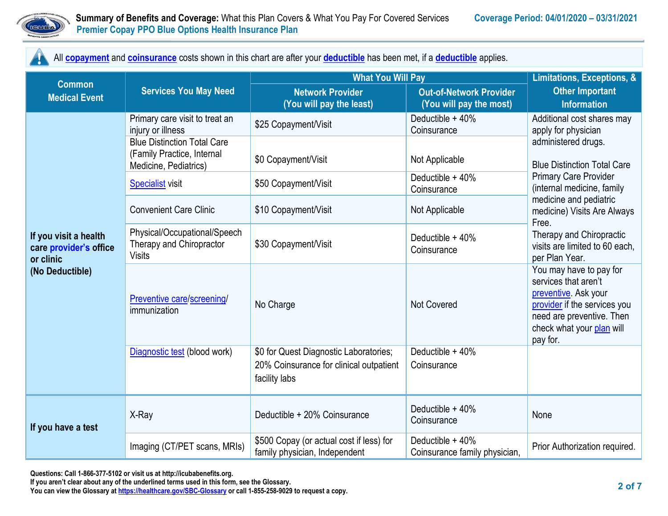

All **[copayment](https://www.healthcare.gov/sbc-glossary/#copayment)** and **[coinsurance](https://www.healthcare.gov/sbc-glossary/#coinsurance)** costs shown in this chart are after your **[deductible](https://www.healthcare.gov/sbc-glossary/#deductible)** has been met, if a **[deductible](https://www.healthcare.gov/sbc-glossary/#deductible)** applies.

| <b>Common</b>                                                                   | <b>Services You May Need</b>                                                              | <b>What You Will Pay</b>                                                                           | Limitations, Exceptions, &                                |                                                                                                                                                                               |  |
|---------------------------------------------------------------------------------|-------------------------------------------------------------------------------------------|----------------------------------------------------------------------------------------------------|-----------------------------------------------------------|-------------------------------------------------------------------------------------------------------------------------------------------------------------------------------|--|
| <b>Medical Event</b>                                                            |                                                                                           | <b>Network Provider</b><br>(You will pay the least)                                                | <b>Out-of-Network Provider</b><br>(You will pay the most) | <b>Other Important</b><br><b>Information</b>                                                                                                                                  |  |
|                                                                                 | Primary care visit to treat an<br>injury or illness                                       | \$25 Copayment/Visit                                                                               | Deductible + 40%<br>Coinsurance                           | Additional cost shares may<br>apply for physician                                                                                                                             |  |
|                                                                                 | <b>Blue Distinction Total Care</b><br>(Family Practice, Internal<br>Medicine, Pediatrics) | \$0 Copayment/Visit                                                                                | Not Applicable                                            | administered drugs.<br><b>Blue Distinction Total Care</b>                                                                                                                     |  |
|                                                                                 | <b>Specialist visit</b>                                                                   | \$50 Copayment/Visit                                                                               | Deductible + 40%<br>Coinsurance                           | <b>Primary Care Provider</b><br>(internal medicine, family                                                                                                                    |  |
|                                                                                 | <b>Convenient Care Clinic</b>                                                             | \$10 Copayment/Visit                                                                               | Not Applicable                                            | medicine and pediatric<br>medicine) Visits Are Always<br>Free.                                                                                                                |  |
| If you visit a health<br>care provider's office<br>or clinic<br>(No Deductible) | Physical/Occupational/Speech<br>Therapy and Chiropractor<br><b>Visits</b>                 | \$30 Copayment/Visit                                                                               | Deductible + 40%<br>Coinsurance                           | Therapy and Chiropractic<br>visits are limited to 60 each,<br>per Plan Year.                                                                                                  |  |
|                                                                                 | Preventive care/screening/<br>immunization                                                | No Charge                                                                                          | <b>Not Covered</b>                                        | You may have to pay for<br>services that aren't<br>preventive. Ask your<br>provider if the services you<br>need are preventive. Then<br>check what your plan will<br>pay for. |  |
|                                                                                 | Diagnostic test (blood work)                                                              | \$0 for Quest Diagnostic Laboratories;<br>20% Coinsurance for clinical outpatient<br>facility labs | Deductible + 40%<br>Coinsurance                           |                                                                                                                                                                               |  |
| If you have a test                                                              | X-Ray                                                                                     | Deductible + 20% Coinsurance                                                                       | Deductible + 40%<br>Coinsurance                           | None                                                                                                                                                                          |  |
|                                                                                 | Imaging (CT/PET scans, MRIs)                                                              | \$500 Copay (or actual cost if less) for<br>family physician, Independent                          | Deductible + 40%<br>Coinsurance family physician,         | Prior Authorization required.                                                                                                                                                 |  |

**If you aren't clear about any of the underlined terms used in this form, see the Glossary.**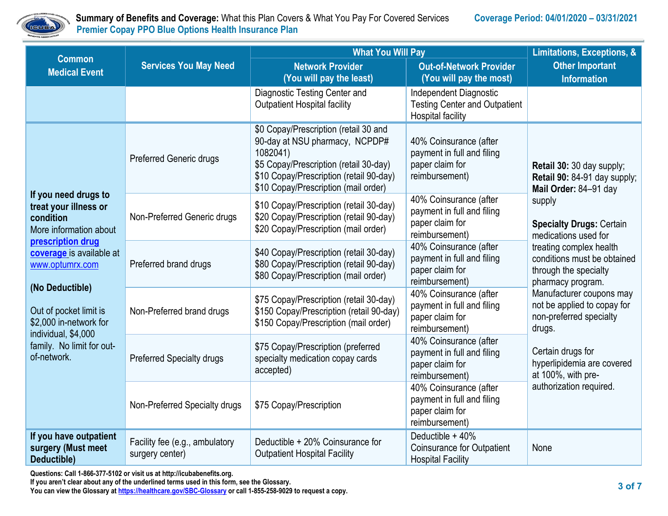

 **Summary of Benefits and Coverage:** What this Plan Covers & What You Pay For Covered Services **Coverage Period: 04/01/2020 – 03/31/2021 Premier Copay PPO Blue Options Health Insurance Plan** 

| <b>Common</b>                                                                                                                                                                                              | <b>Services You May Need</b>                      | <b>What You Will Pay</b>                                                                                                                                                                                         | Limitations, Exceptions, &                                                                 |                                                                                                                                                                                                      |  |
|------------------------------------------------------------------------------------------------------------------------------------------------------------------------------------------------------------|---------------------------------------------------|------------------------------------------------------------------------------------------------------------------------------------------------------------------------------------------------------------------|--------------------------------------------------------------------------------------------|------------------------------------------------------------------------------------------------------------------------------------------------------------------------------------------------------|--|
| <b>Medical Event</b>                                                                                                                                                                                       |                                                   | <b>Network Provider</b><br>(You will pay the least)                                                                                                                                                              | <b>Out-of-Network Provider</b><br>(You will pay the most)                                  | <b>Other Important</b><br><b>Information</b>                                                                                                                                                         |  |
|                                                                                                                                                                                                            |                                                   | Diagnostic Testing Center and<br><b>Outpatient Hospital facility</b>                                                                                                                                             | Independent Diagnostic<br><b>Testing Center and Outpatient</b><br><b>Hospital facility</b> |                                                                                                                                                                                                      |  |
|                                                                                                                                                                                                            | <b>Preferred Generic drugs</b>                    | \$0 Copay/Prescription (retail 30 and<br>90-day at NSU pharmacy, NCPDP#<br>1082041)<br>\$5 Copay/Prescription (retail 30-day)<br>\$10 Copay/Prescription (retail 90-day)<br>\$10 Copay/Prescription (mail order) | 40% Coinsurance (after<br>payment in full and filing<br>paper claim for<br>reimbursement)  | Retail 30: 30 day supply;<br>Retail 90: 84-91 day supply;<br>Mail Order: 84-91 day                                                                                                                   |  |
| If you need drugs to<br>treat your illness or<br>condition<br>More information about                                                                                                                       | Non-Preferred Generic drugs                       | \$10 Copay/Prescription (retail 30-day)<br>\$20 Copay/Prescription (retail 90-day)<br>\$20 Copay/Prescription (mail order)                                                                                       | 40% Coinsurance (after<br>payment in full and filing<br>paper claim for<br>reimbursement)  | supply<br><b>Specialty Drugs: Certain</b><br>medications used for                                                                                                                                    |  |
| prescription drug<br>coverage is available at<br>www.optumrx.com<br>(No Deductible)<br>Out of pocket limit is<br>\$2,000 in-network for<br>individual, \$4,000<br>family. No limit for out-<br>of-network. | Preferred brand drugs                             | \$40 Copay/Prescription (retail 30-day)<br>\$80 Copay/Prescription (retail 90-day)<br>\$80 Copay/Prescription (mail order)                                                                                       | 40% Coinsurance (after<br>payment in full and filing<br>paper claim for<br>reimbursement)  | treating complex health<br>conditions must be obtained<br>through the specialty<br>pharmacy program.<br>Manufacturer coupons may<br>not be applied to copay for<br>non-preferred specialty<br>drugs. |  |
|                                                                                                                                                                                                            | Non-Preferred brand drugs                         | \$75 Copay/Prescription (retail 30-day)<br>\$150 Copay/Prescription (retail 90-day)<br>\$150 Copay/Prescription (mail order)                                                                                     | 40% Coinsurance (after<br>payment in full and filing<br>paper claim for<br>reimbursement)  |                                                                                                                                                                                                      |  |
|                                                                                                                                                                                                            | <b>Preferred Specialty drugs</b>                  | \$75 Copay/Prescription (preferred<br>specialty medication copay cards<br>accepted)                                                                                                                              | 40% Coinsurance (after<br>payment in full and filing<br>paper claim for<br>reimbursement)  | Certain drugs for<br>hyperlipidemia are covered<br>at 100%, with pre-                                                                                                                                |  |
|                                                                                                                                                                                                            | Non-Preferred Specialty drugs                     | \$75 Copay/Prescription                                                                                                                                                                                          | 40% Coinsurance (after<br>payment in full and filing<br>paper claim for<br>reimbursement)  | authorization required.                                                                                                                                                                              |  |
| If you have outpatient<br>surgery (Must meet<br>Deductible)                                                                                                                                                | Facility fee (e.g., ambulatory<br>surgery center) | Deductible + 20% Coinsurance for<br><b>Outpatient Hospital Facility</b>                                                                                                                                          | Deductible + 40%<br><b>Coinsurance for Outpatient</b><br><b>Hospital Facility</b>          | None                                                                                                                                                                                                 |  |

**Questions: Call 1-866-377-5102 or visit us at http://icubabenefits.org.** 

**If you aren't clear about any of the underlined terms used in this form, see the Glossary.**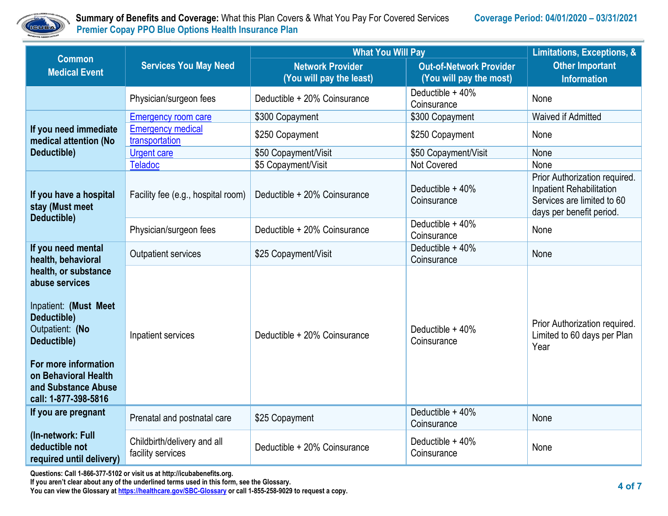

 **Summary of Benefits and Coverage:** What this Plan Covers & What You Pay For Covered Services **Coverage Period: 04/01/2020 – 03/31/2021 Premier Copay PPO Blue Options Health Insurance Plan** 

| <b>Common</b>                                                                                                                                                                                                   | <b>Services You May Need</b>                                                                          | <b>What You Will Pay</b>                            | Limitations, Exceptions, &                                                                                          |                                                                      |
|-----------------------------------------------------------------------------------------------------------------------------------------------------------------------------------------------------------------|-------------------------------------------------------------------------------------------------------|-----------------------------------------------------|---------------------------------------------------------------------------------------------------------------------|----------------------------------------------------------------------|
| <b>Medical Event</b>                                                                                                                                                                                            |                                                                                                       | <b>Network Provider</b><br>(You will pay the least) | <b>Out-of-Network Provider</b><br>(You will pay the most)                                                           | <b>Other Important</b><br><b>Information</b>                         |
|                                                                                                                                                                                                                 | Physician/surgeon fees                                                                                | Deductible + 20% Coinsurance                        | Deductible + 40%<br>Coinsurance                                                                                     | None                                                                 |
|                                                                                                                                                                                                                 | <b>Emergency room care</b>                                                                            | \$300 Copayment                                     | \$300 Copayment                                                                                                     | Waived if Admitted                                                   |
| If you need immediate<br>medical attention (No                                                                                                                                                                  | <b>Emergency medical</b><br>transportation                                                            | \$250 Copayment                                     | \$250 Copayment                                                                                                     | None                                                                 |
| Deductible)                                                                                                                                                                                                     | <b>Urgent care</b>                                                                                    | \$50 Copayment/Visit                                | \$50 Copayment/Visit                                                                                                | None                                                                 |
|                                                                                                                                                                                                                 | <b>Teladoc</b>                                                                                        | \$5 Copayment/Visit                                 | <b>Not Covered</b>                                                                                                  | None                                                                 |
| If you have a hospital<br>stay (Must meet<br>Deductible)                                                                                                                                                        | Deductible + 40%<br>Deductible + 20% Coinsurance<br>Facility fee (e.g., hospital room)<br>Coinsurance |                                                     | Prior Authorization required.<br>Inpatient Rehabilitation<br>Services are limited to 60<br>days per benefit period. |                                                                      |
|                                                                                                                                                                                                                 | Physician/surgeon fees                                                                                | Deductible + 20% Coinsurance                        | Deductible + 40%<br>Coinsurance                                                                                     | None                                                                 |
| If you need mental<br>health, behavioral                                                                                                                                                                        | <b>Outpatient services</b>                                                                            | \$25 Copayment/Visit                                | Deductible + 40%<br>Coinsurance                                                                                     | None                                                                 |
| health, or substance<br>abuse services<br>Inpatient: (Must Meet<br>Deductible)<br>Outpatient: (No<br>Deductible)<br>For more information<br>on Behavioral Health<br>and Substance Abuse<br>call: 1-877-398-5816 | Inpatient services                                                                                    | Deductible + 20% Coinsurance                        | Deductible $+40%$<br>Coinsurance                                                                                    | Prior Authorization required.<br>Limited to 60 days per Plan<br>Year |
| If you are pregnant                                                                                                                                                                                             | Prenatal and postnatal care                                                                           | \$25 Copayment                                      | Deductible + 40%<br>Coinsurance                                                                                     | None                                                                 |
| (In-network: Full<br>deductible not<br>required until delivery)                                                                                                                                                 | Childbirth/delivery and all<br>facility services                                                      | Deductible + 20% Coinsurance                        | Deductible + 40%<br>Coinsurance                                                                                     | None                                                                 |

**Questions: Call 1-866-377-5102 or visit us at http://icubabenefits.org.** 

**If you aren't clear about any of the underlined terms used in this form, see the Glossary.**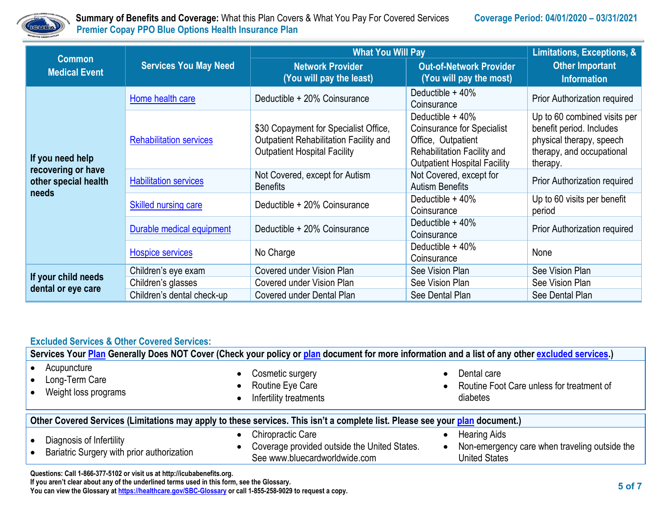

 **Summary of Benefits and Coverage:** What this Plan Covers & What You Pay For Covered Services **Coverage Period: 04/01/2020 – 03/31/2021 Premier Copay PPO Blue Options Health Insurance Plan** 

| <b>Common</b>                                                           | <b>Services You May Need</b>   | <b>What You Will Pay</b>                                                                                               | Limitations, Exceptions, &                                                                                                                        |                                                                                                                               |
|-------------------------------------------------------------------------|--------------------------------|------------------------------------------------------------------------------------------------------------------------|---------------------------------------------------------------------------------------------------------------------------------------------------|-------------------------------------------------------------------------------------------------------------------------------|
| <b>Medical Event</b>                                                    |                                | <b>Network Provider</b><br>(You will pay the least)                                                                    | <b>Out-of-Network Provider</b><br>(You will pay the most)                                                                                         | <b>Other Important</b><br><b>Information</b>                                                                                  |
| If you need help<br>recovering or have<br>other special health<br>needs | Home health care               | Deductible + 20% Coinsurance                                                                                           | Deductible + 40%<br>Coinsurance                                                                                                                   | Prior Authorization required                                                                                                  |
|                                                                         | <b>Rehabilitation services</b> | \$30 Copayment for Specialist Office,<br>Outpatient Rehabilitation Facility and<br><b>Outpatient Hospital Facility</b> | Deductible + 40%<br><b>Coinsurance for Specialist</b><br>Office, Outpatient<br>Rehabilitation Facility and<br><b>Outpatient Hospital Facility</b> | Up to 60 combined visits per<br>benefit period. Includes<br>physical therapy, speech<br>therapy, and occupational<br>therapy. |
|                                                                         | <b>Habilitation services</b>   | Not Covered, except for Autism<br><b>Benefits</b>                                                                      | Not Covered, except for<br><b>Autism Benefits</b>                                                                                                 | Prior Authorization required                                                                                                  |
|                                                                         | <b>Skilled nursing care</b>    | Deductible + 20% Coinsurance                                                                                           | Deductible $+40%$<br>Coinsurance                                                                                                                  | Up to 60 visits per benefit<br>period                                                                                         |
|                                                                         | Durable medical equipment      | Deductible + 20% Coinsurance                                                                                           | Deductible + 40%<br>Coinsurance                                                                                                                   | Prior Authorization required                                                                                                  |
|                                                                         | <b>Hospice services</b>        | No Charge                                                                                                              | Deductible $+40\%$<br>Coinsurance                                                                                                                 | None                                                                                                                          |
| If your child needs<br>dental or eye care                               | Children's eye exam            | Covered under Vision Plan                                                                                              | See Vision Plan                                                                                                                                   | See Vision Plan                                                                                                               |
|                                                                         | Children's glasses             | Covered under Vision Plan                                                                                              | See Vision Plan                                                                                                                                   | See Vision Plan                                                                                                               |
|                                                                         | Children's dental check-up     | Covered under Dental Plan                                                                                              | See Dental Plan                                                                                                                                   | See Dental Plan                                                                                                               |

## **Excluded Services & Other Covered Services:**

| Services Your Plan Generally Does NOT Cover (Check your policy or plan document for more information and a list of any other excluded services.) |                                                                                                    |                                                                                              |  |  |
|--------------------------------------------------------------------------------------------------------------------------------------------------|----------------------------------------------------------------------------------------------------|----------------------------------------------------------------------------------------------|--|--|
| Acupuncture<br>Long-Term Care<br>Weight loss programs                                                                                            | Cosmetic surgery<br>$\bullet$<br>Routine Eye Care<br>Infertility treatments                        | Dental care<br>Routine Foot Care unless for treatment of<br>diabetes                         |  |  |
| Other Covered Services (Limitations may apply to these services. This isn't a complete list. Please see your plan document.)                     |                                                                                                    |                                                                                              |  |  |
| Diagnosis of Infertility<br>Bariatric Surgery with prior authorization                                                                           | Chiropractic Care<br>Coverage provided outside the United States.<br>See www.bluecardworldwide.com | <b>Hearing Aids</b><br>Non-emergency care when traveling outside the<br><b>United States</b> |  |  |
| Questions: Call 1-866-377-5102 or visit us at http://icubabenefits.org.                                                                          |                                                                                                    |                                                                                              |  |  |

**If you aren't clear about any of the underlined terms used in this form, see the Glossary.**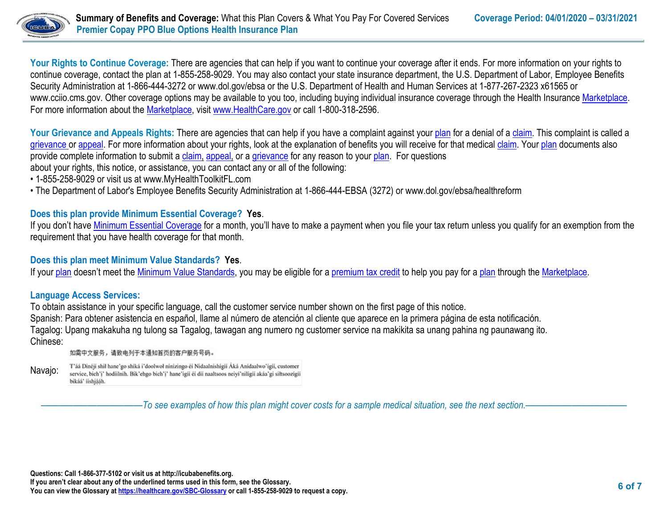

Your Rights to Continue Coverage: There are agencies that can help if you want to continue your coverage after it ends. For more information on your rights to continue coverage, contact the plan at 1-855-258-9029. You may also contact your state insurance department, the U.S. Department of Labor, Employee Benefits Security Administration at 1-866-444-3272 or www.dol.gov/ebsa or the U.S. Department of Health and Human Services at 1-877-267-2323 x61565 or www.cciio.cms.gov. Other coverage options may be available to you too, including buying individual insurance coverage through the Health Insurance [Marketplace.](https://www.healthcare.gov/sbc-glossary/#marketplace) For more information about the [Marketplace,](https://www.healthcare.gov/sbc-glossary/#marketplace) visit [www.HealthCare.gov](http://www.healthcare.gov/) or call 1-800-318-2596.

Your Grievance and Appeals Rights: There are agencies that can help if you have a complaint against you[r plan](https://www.healthcare.gov/sbc-glossary/#plan) for a denial of a [claim.](https://www.healthcare.gov/sbc-glossary/#claim) This complaint is called a [grievance](https://www.healthcare.gov/sbc-glossary/#grievance) or [appeal.](https://www.healthcare.gov/sbc-glossary/#appeal) For more information about your rights, look at the explanation of benefits you will receive for that medica[l claim.](https://www.healthcare.gov/sbc-glossary/#claim) Your [plan](https://www.healthcare.gov/sbc-glossary/#plan) documents also provide complete information to submit a [claim,](https://www.healthcare.gov/sbc-glossary/#claim) [appeal,](https://www.healthcare.gov/sbc-glossary/#appeal) or a [grievance](https://www.healthcare.gov/sbc-glossary/#grievance) for any reason to your [plan.](https://www.healthcare.gov/sbc-glossary/#plan) For questions about your rights, this notice, or assistance, you can contact any or all of the following:

- 1-855-258-9029 or visit us at www.MyHealthToolkitFL.com
- The Department of Labor's Employee Benefits Security Administration at 1-866-444-EBSA (3272) or www.dol.gov/ebsa/healthreform

## **Does this plan provide Minimum Essential Coverage? Yes**.

If you don't have [Minimum Essential Coverage](https://www.healthcare.gov/sbc-glossary/#minimum-essential-coverage) for a month, you'll have to make a payment when you file your tax return unless you qualify for an exemption from the requirement that you have health coverage for that month.

## **Does this plan meet Minimum Value Standards? Yes**.

If your [plan](https://www.healthcare.gov/sbc-glossary/#plan) doesn't meet the [Minimum Value Standards,](https://www.healthcare.gov/sbc-glossary/#minimum-value-standard) you may be eligible for a [premium tax credit](https://www.healthcare.gov/sbc-glossary/#premium-tax-credits) to help you pay for a plan through the [Marketplace.](https://www.healthcare.gov/sbc-glossary/#marketplace)

## **Language Access Services:**

To obtain assistance in your specific language, call the customer service number shown on the first page of this notice. Spanish: Para obtener asistencia en español, llame al número de atención al cliente que aparece en la primera página de esta notificación. Tagalog: Upang makakuha ng tulong sa Tagalog, tawagan ang numero ng customer service na makikita sa unang pahina ng paunawang ito. Chinese:

如需中文服务,请致电列于本通知首页的客户服务号码。

Navajo:

T'áá Dinéji shil hane'go shiká i'doolwol ninizingo éi Nidaalnishigii Áká Anidaalwo'igii, customer service, bich'i' hodiilnih. Bik'ehgo bich'i' hane'igii éi dii naaltsoos neiyi'niligii akáa'gi siłtsoozigii bikáá' ííshjááh.

––––––––––––––––––––––*To see examples of how this plan might cover costs for a sample medical situation, see the next section.–––––––––––*–––––––––––

**Questions: Call 1-866-377-5102 or visit us at http://icubabenefits.org.** 

**If you aren't clear about any of the underlined terms used in this form, see the Glossary.**